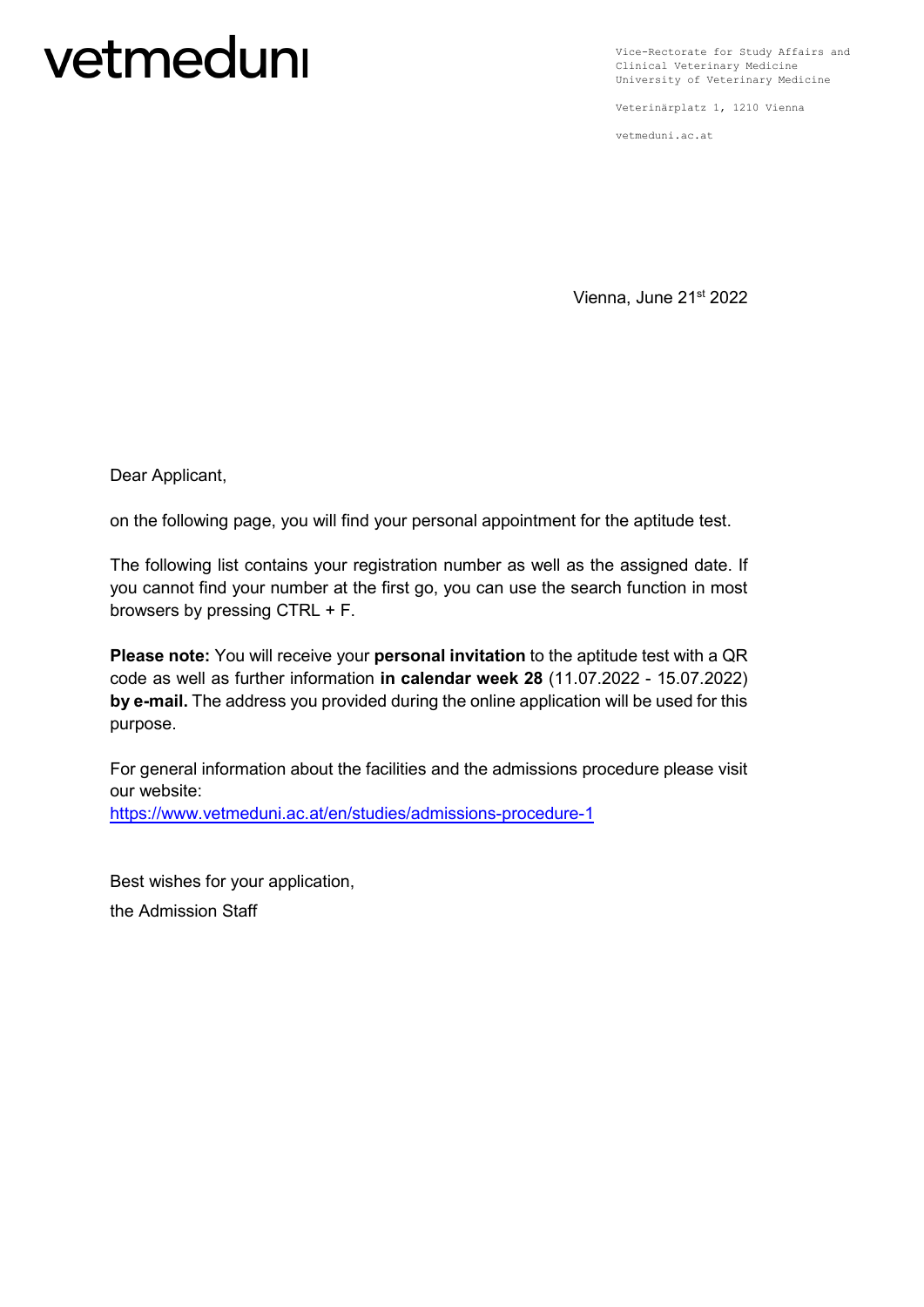## vetmeduni

Vice-Rectorate for Study Affairs and Clinical Veterinary Medicine University of Veterinary Medicine

Veterinärplatz 1, 1210 Vienna

vetmeduni.ac.at

Vienna, June 21st 2022

Dear Applicant,

on the following page, you will find your personal appointment for the aptitude test.

The following list contains your registration number as well as the assigned date. If you cannot find your number at the first go, you can use the search function in most browsers by pressing CTRL + F.

**Please note:** You will receive your **personal invitation** to the aptitude test with a QR code as well as further information **in calendar week 28** (11.07.2022 - 15.07.2022) **by e-mail.** The address you provided during the online application will be used for this purpose.

For general information about the facilities and the admissions procedure please visit our website: <https://www.vetmeduni.ac.at/en/studies/admissions-procedure-1>

Best wishes for your application, the Admission Staff